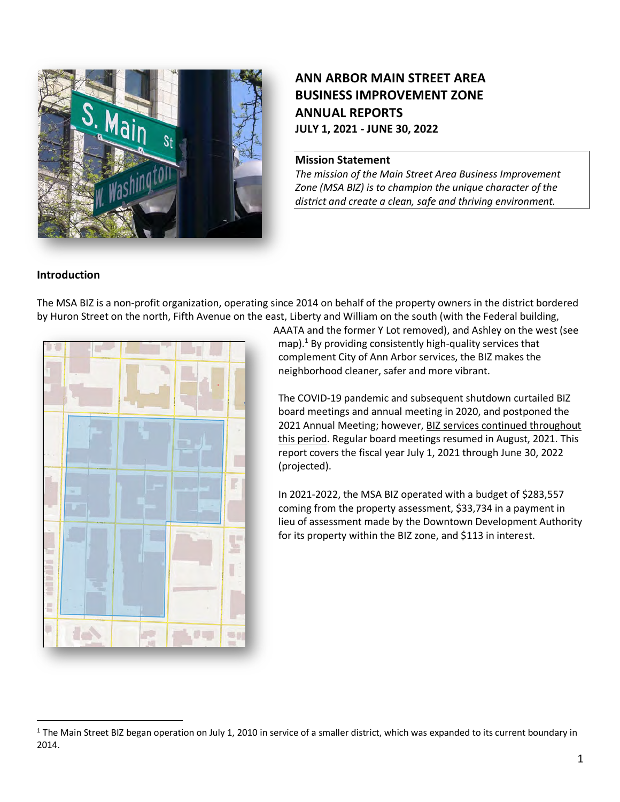

# **ANN ARBOR MAIN STREET AREA BUSINESS IMPROVEMENT ZONE ANNUAL REPORTS JULY 1, 2021 - JUNE 30, 2022**

#### **Mission Statement**

*The mission of the Main Street Area Business Improvement Zone (MSA BIZ) is to champion the unique character of the district and create a clean, safe and thriving environment.*

## **Introduction**

The MSA BIZ is a non-profit organization, operating since 2014 on behalf of the property owners in the district bordered by Huron Street on the north, Fifth Avenue on the east, Liberty and William on the south (with the Federal building,



AAATA and the former Y Lot removed), and Ashley on the west (see map). $<sup>1</sup>$  By providing consistently high-quality services that</sup> complement City of Ann Arbor services, the BIZ makes the neighborhood cleaner, safer and more vibrant.

The COVID-19 pandemic and subsequent shutdown curtailed BIZ board meetings and annual meeting in 2020, and postponed the 2021 Annual Meeting; however, BIZ services continued throughout this period. Regular board meetings resumed in August, 2021. This report covers the fiscal year July 1, 2021 through June 30, 2022 (projected).

In 2021-2022, the MSA BIZ operated with a budget of \$283,557 coming from the property assessment, \$33,734 in a payment in lieu of assessment made by the Downtown Development Authority for its property within the BIZ zone, and \$113 in interest.

 $1$  The Main Street BIZ began operation on July 1, 2010 in service of a smaller district, which was expanded to its current boundary in 2014.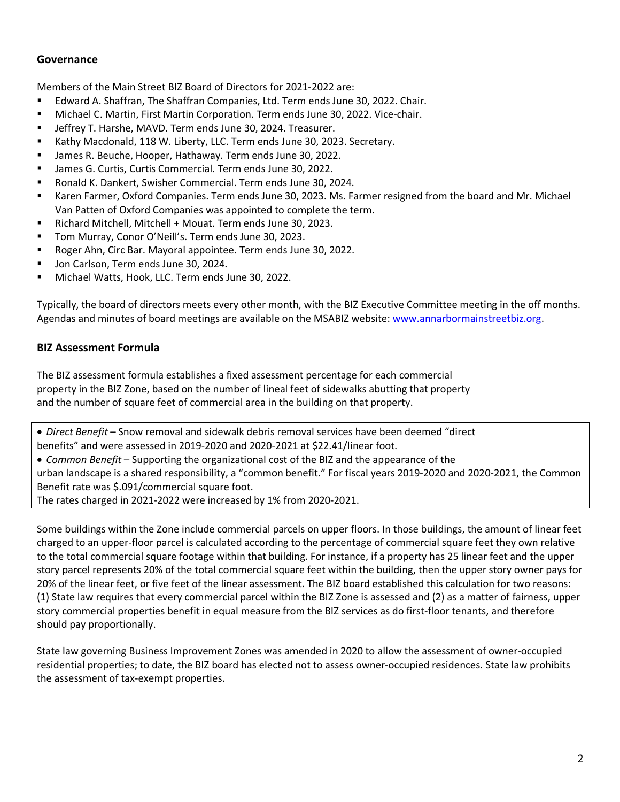## **Governance**

Members of the Main Street BIZ Board of Directors for 2021-2022 are:

- § Edward A. Shaffran, The Shaffran Companies, Ltd. Term ends June 30, 2022. Chair.
- Michael C. Martin, First Martin Corporation. Term ends June 30, 2022. Vice-chair.
- Jeffrey T. Harshe, MAVD. Term ends June 30, 2024. Treasurer.
- § Kathy Macdonald, 118 W. Liberty, LLC. Term ends June 30, 2023. Secretary.
- James R. Beuche, Hooper, Hathaway. Term ends June 30, 2022.
- § James G. Curtis, Curtis Commercial. Term ends June 30, 2022.
- § Ronald K. Dankert, Swisher Commercial. Term ends June 30, 2024.
- § Karen Farmer, Oxford Companies. Term ends June 30, 2023. Ms. Farmer resigned from the board and Mr. Michael Van Patten of Oxford Companies was appointed to complete the term.
- § Richard Mitchell, Mitchell + Mouat. Term ends June 30, 2023.
- Tom Murray, Conor O'Neill's. Term ends June 30, 2023.
- Roger Ahn, Circ Bar. Mayoral appointee. Term ends June 30, 2022.
- Jon Carlson, Term ends June 30, 2024.
- § Michael Watts, Hook, LLC. Term ends June 30, 2022.

Typically, the board of directors meets every other month, with the BIZ Executive Committee meeting in the off months. Agendas and minutes of board meetings are available on the MSABIZ website: www.annarbormainstreetbiz.org.

## **BIZ Assessment Formula**

The BIZ assessment formula establishes a fixed assessment percentage for each commercial property in the BIZ Zone, based on the number of lineal feet of sidewalks abutting that property and the number of square feet of commercial area in the building on that property.

• *Direct Benefit* – Snow removal and sidewalk debris removal services have been deemed "direct benefits" and were assessed in 2019-2020 and 2020-2021 at \$22.41/linear foot.

• *Common Benefit* – Supporting the organizational cost of the BIZ and the appearance of the urban landscape is a shared responsibility, a "common benefit." For fiscal years 2019-2020 and 2020-2021, the Common Benefit rate was \$.091/commercial square foot.

The rates charged in 2021-2022 were increased by 1% from 2020-2021.

Some buildings within the Zone include commercial parcels on upper floors. In those buildings, the amount of linear feet charged to an upper-floor parcel is calculated according to the percentage of commercial square feet they own relative to the total commercial square footage within that building. For instance, if a property has 25 linear feet and the upper story parcel represents 20% of the total commercial square feet within the building, then the upper story owner pays for 20% of the linear feet, or five feet of the linear assessment. The BIZ board established this calculation for two reasons: (1) State law requires that every commercial parcel within the BIZ Zone is assessed and (2) as a matter of fairness, upper story commercial properties benefit in equal measure from the BIZ services as do first-floor tenants, and therefore should pay proportionally.

State law governing Business Improvement Zones was amended in 2020 to allow the assessment of owner-occupied residential properties; to date, the BIZ board has elected not to assess owner-occupied residences. State law prohibits the assessment of tax-exempt properties.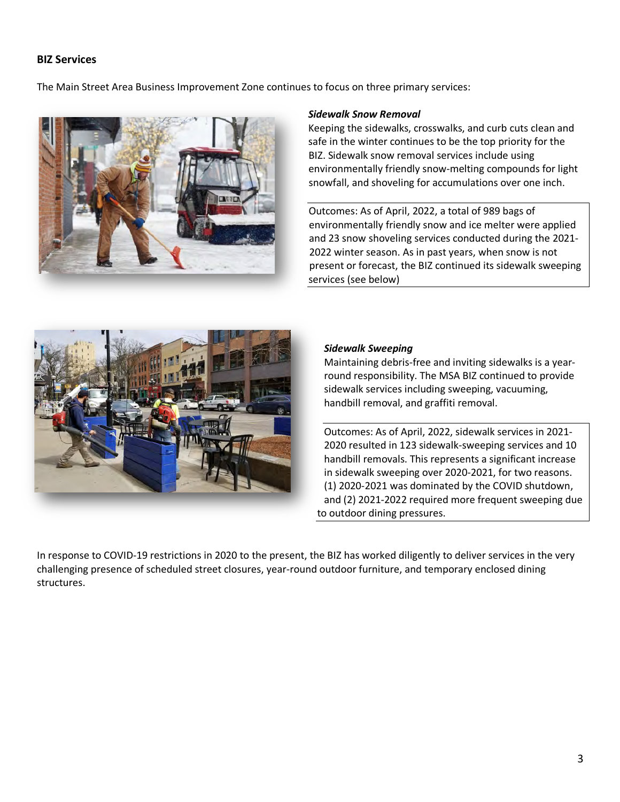## **BIZ Services**

The Main Street Area Business Improvement Zone continues to focus on three primary services:



#### *Sidewalk Snow Removal*

Keeping the sidewalks, crosswalks, and curb cuts clean and safe in the winter continues to be the top priority for the BIZ. Sidewalk snow removal services include using environmentally friendly snow-melting compounds for light snowfall, and shoveling for accumulations over one inch.

Outcomes: As of April, 2022, a total of 989 bags of environmentally friendly snow and ice melter were applied and 23 snow shoveling services conducted during the 2021- 2022 winter season. As in past years, when snow is not present or forecast, the BIZ continued its sidewalk sweeping services (see below)



#### *Sidewalk Sweeping*

Maintaining debris-free and inviting sidewalks is a yearround responsibility. The MSA BIZ continued to provide sidewalk services including sweeping, vacuuming, handbill removal, and graffiti removal.

Outcomes: As of April, 2022, sidewalk services in 2021- 2020 resulted in 123 sidewalk-sweeping services and 10 handbill removals. This represents a significant increase in sidewalk sweeping over 2020-2021, for two reasons. (1) 2020-2021 was dominated by the COVID shutdown, and (2) 2021-2022 required more frequent sweeping due to outdoor dining pressures.

In response to COVID-19 restrictions in 2020 to the present, the BIZ has worked diligently to deliver services in the very challenging presence of scheduled street closures, year-round outdoor furniture, and temporary enclosed dining structures.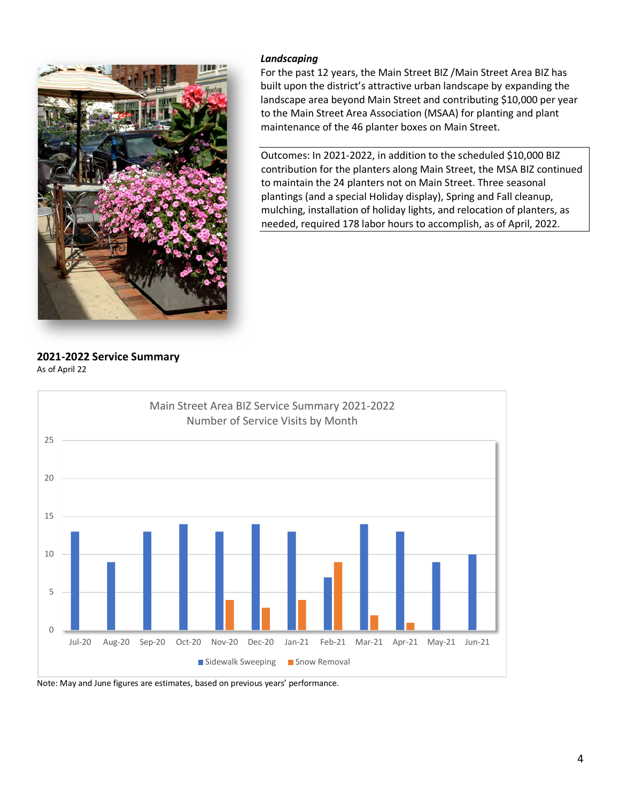

#### *Landscaping*

For the past 12 years, the Main Street BIZ /Main Street Area BIZ has built upon the district's attractive urban landscape by expanding the landscape area beyond Main Street and contributing \$10,000 per year to the Main Street Area Association (MSAA) for planting and plant maintenance of the 46 planter boxes on Main Street.

Outcomes: In 2021-2022, in addition to the scheduled \$10,000 BIZ contribution for the planters along Main Street, the MSA BIZ continued to maintain the 24 planters not on Main Street. Three seasonal plantings (and a special Holiday display), Spring and Fall cleanup, mulching, installation of holiday lights, and relocation of planters, as needed, required 178 labor hours to accomplish, as of April, 2022.

**2021-2022 Service Summary** As of April 22



Note: May and June figures are estimates, based on previous years' performance.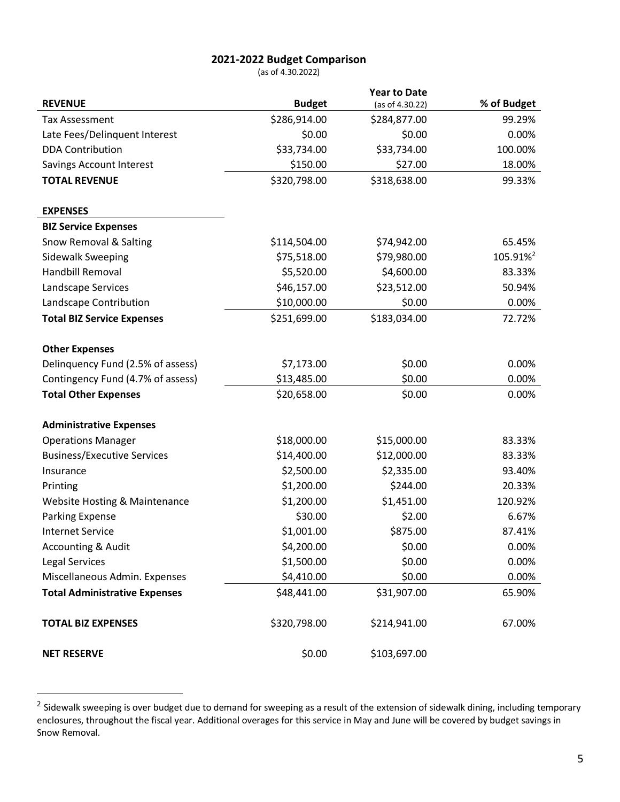## **2021-2022 Budget Comparison**

(as of 4.30.2022)

|                                          |               | <b>Year to Date</b> |                      |
|------------------------------------------|---------------|---------------------|----------------------|
| <b>REVENUE</b>                           | <b>Budget</b> | (as of 4.30.22)     | % of Budget          |
| <b>Tax Assessment</b>                    | \$286,914.00  | \$284,877.00        | 99.29%               |
| Late Fees/Delinquent Interest            | \$0.00        | \$0.00              | 0.00%                |
| <b>DDA Contribution</b>                  | \$33,734.00   | \$33,734.00         | 100.00%              |
| <b>Savings Account Interest</b>          | \$150.00      | \$27.00             | 18.00%               |
| <b>TOTAL REVENUE</b>                     | \$320,798.00  | \$318,638.00        | 99.33%               |
|                                          |               |                     |                      |
| <b>EXPENSES</b>                          |               |                     |                      |
| <b>BIZ Service Expenses</b>              |               |                     |                      |
| Snow Removal & Salting                   | \$114,504.00  | \$74,942.00         | 65.45%               |
| Sidewalk Sweeping                        | \$75,518.00   | \$79,980.00         | 105.91% <sup>2</sup> |
| Handbill Removal                         | \$5,520.00    | \$4,600.00          | 83.33%               |
| Landscape Services                       | \$46,157.00   | \$23,512.00         | 50.94%               |
| Landscape Contribution                   | \$10,000.00   | \$0.00              | 0.00%                |
| <b>Total BIZ Service Expenses</b>        | \$251,699.00  | \$183,034.00        | 72.72%               |
|                                          |               |                     |                      |
| <b>Other Expenses</b>                    |               |                     |                      |
| Delinquency Fund (2.5% of assess)        | \$7,173.00    | \$0.00              | 0.00%                |
| Contingency Fund (4.7% of assess)        | \$13,485.00   | \$0.00              | 0.00%                |
| <b>Total Other Expenses</b>              | \$20,658.00   | \$0.00              | 0.00%                |
|                                          |               |                     |                      |
| <b>Administrative Expenses</b>           |               |                     |                      |
| <b>Operations Manager</b>                | \$18,000.00   | \$15,000.00         | 83.33%               |
| <b>Business/Executive Services</b>       | \$14,400.00   | \$12,000.00         | 83.33%               |
| Insurance                                | \$2,500.00    | \$2,335.00          | 93.40%               |
| Printing                                 | \$1,200.00    | \$244.00            | 20.33%               |
| <b>Website Hosting &amp; Maintenance</b> | \$1,200.00    | \$1,451.00          | 120.92%              |
| Parking Expense                          | \$30.00       | \$2.00              | 6.67%                |
| <b>Internet Service</b>                  | \$1,001.00    | \$875.00            | 87.41%               |
| <b>Accounting &amp; Audit</b>            | \$4,200.00    | \$0.00              | 0.00%                |
| Legal Services                           | \$1,500.00    | \$0.00              | 0.00%                |
| Miscellaneous Admin. Expenses            | \$4,410.00    | \$0.00              | 0.00%                |
| <b>Total Administrative Expenses</b>     | \$48,441.00   | \$31,907.00         | 65.90%               |
| <b>TOTAL BIZ EXPENSES</b>                | \$320,798.00  | \$214,941.00        | 67.00%               |
| <b>NET RESERVE</b>                       | \$0.00        | \$103,697.00        |                      |

<sup>&</sup>lt;sup>2</sup> Sidewalk sweeping is over budget due to demand for sweeping as a result of the extension of sidewalk dining, including temporary enclosures, throughout the fiscal year. Additional overages for this service in May and June will be covered by budget savings in Snow Removal.